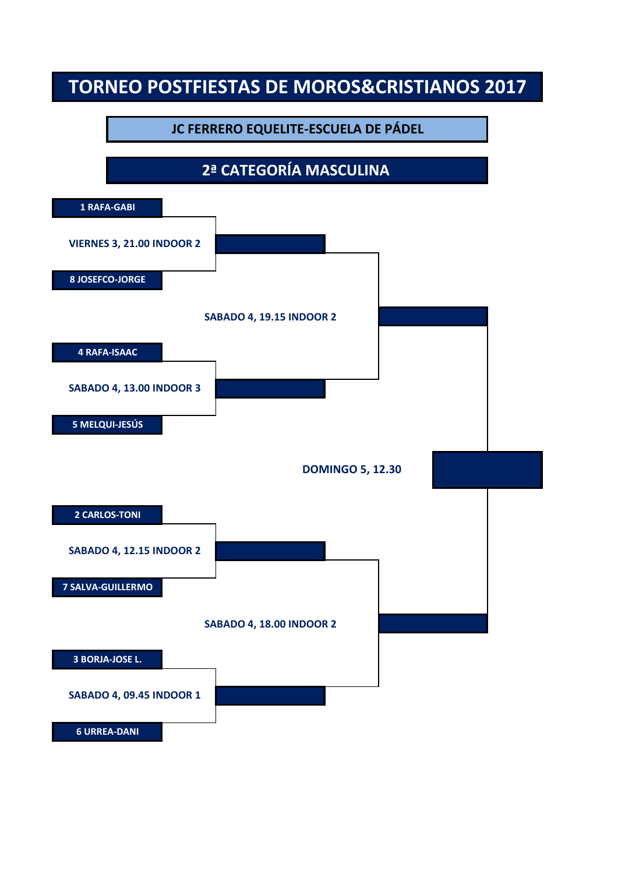#### **JC FERRERO EQUELITE-ESCUELA DE PÁDEL**

### **2ª CATEGORÍA MASCULINA**

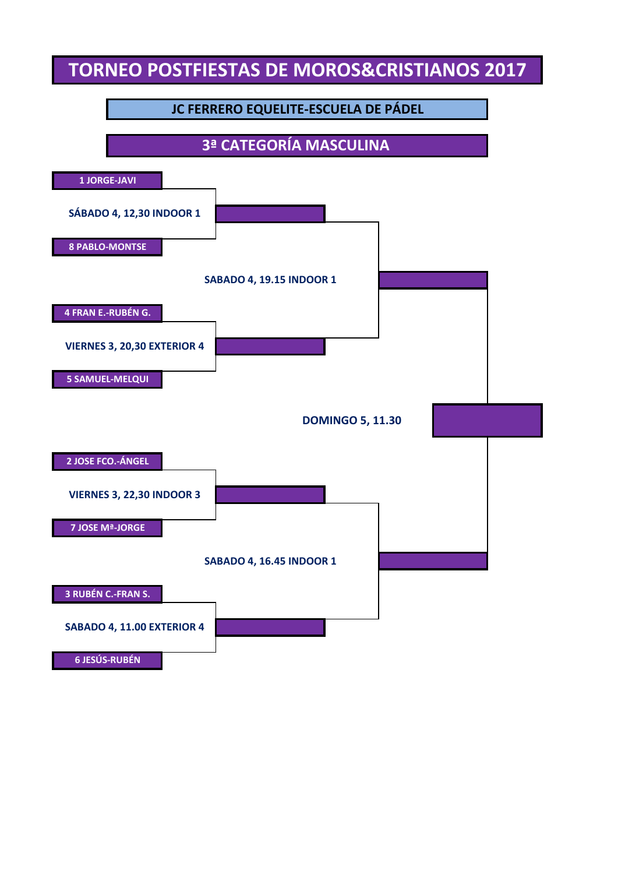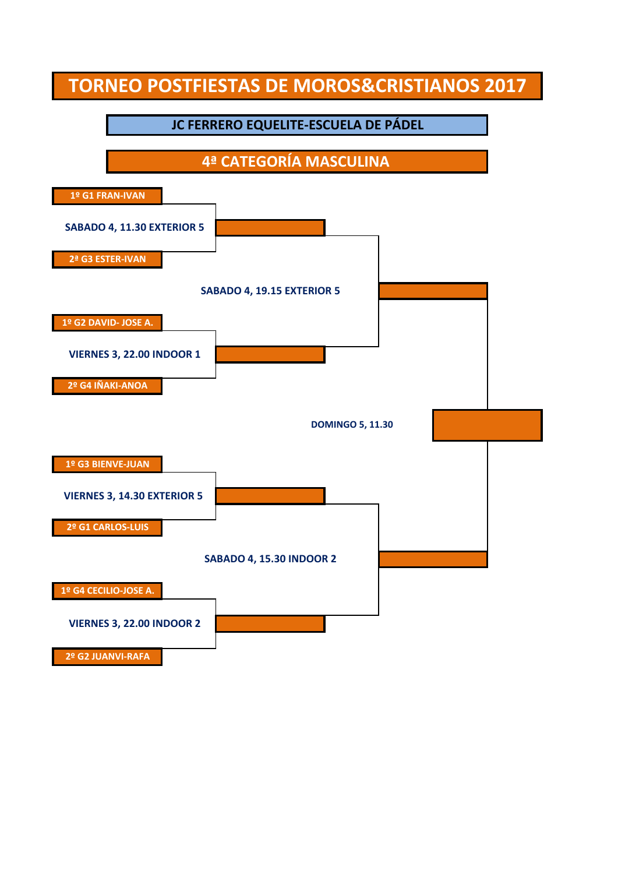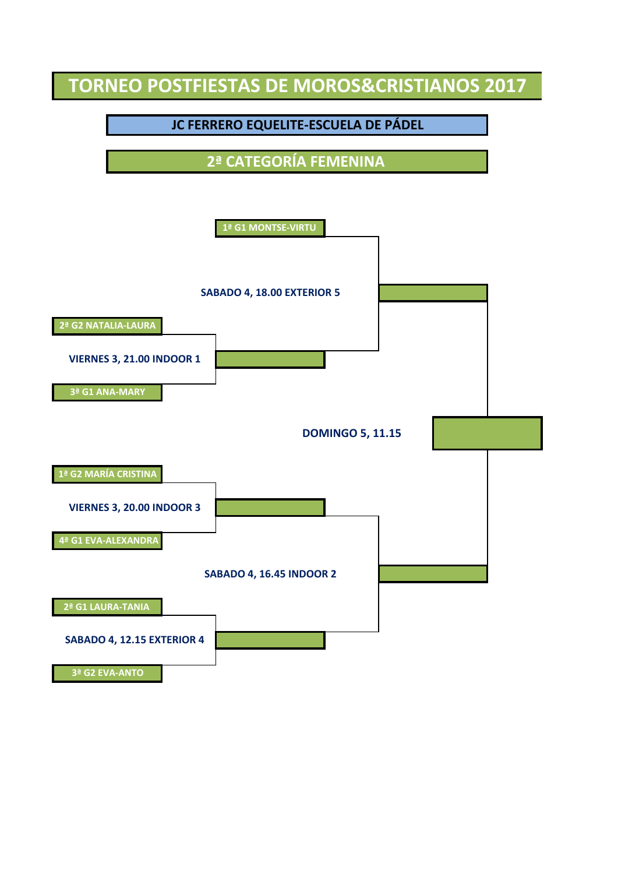#### **JC FERRERO EQUELITE-ESCUELA DE PÁDEL**

**2ª CATEGORÍA FEMENINA** 

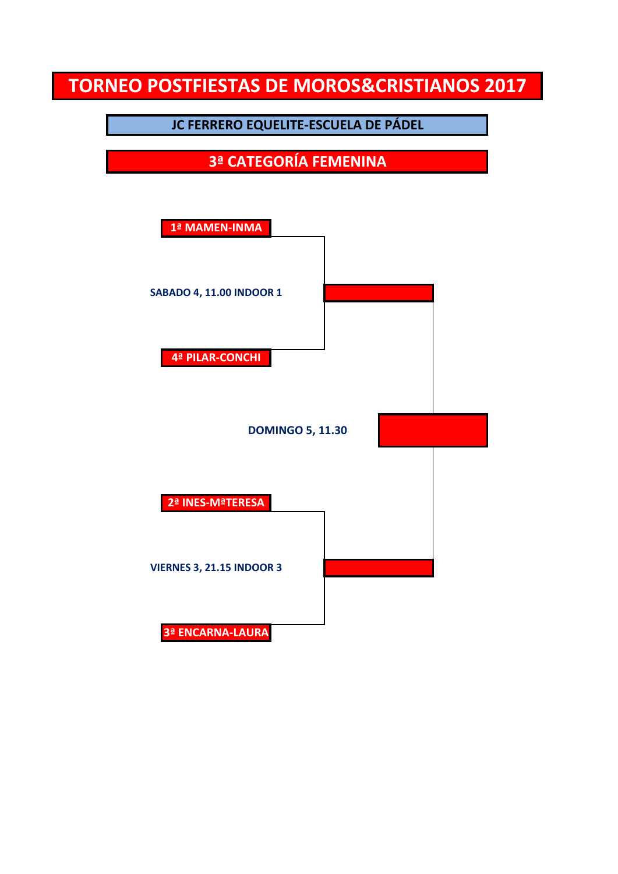**JC FERRERO EQUELITE-ESCUELA DE PÁDEL**

**3ª CATEGORÍA FEMENINA**